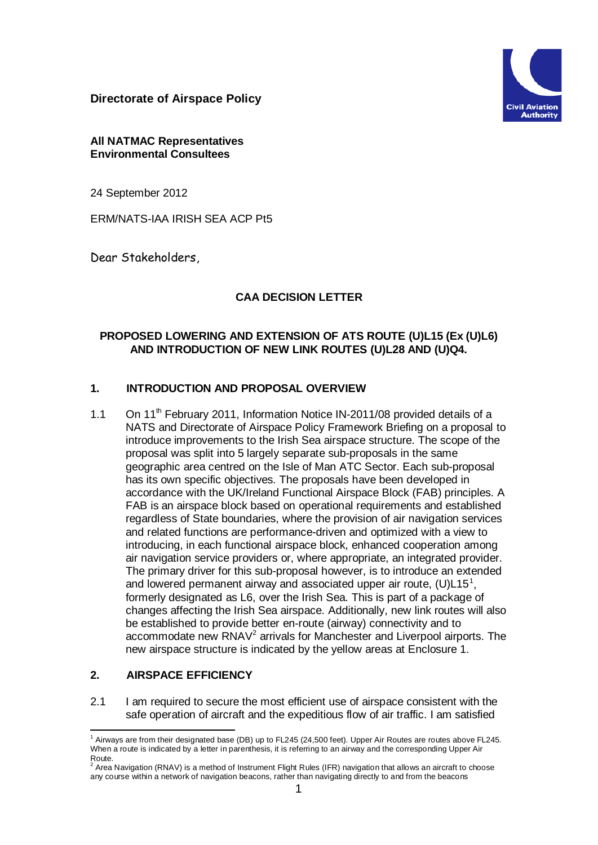**Directorate of Airspace Policy**



#### **All NATMAC Representatives Environmental Consultees**

24 September 2012

ERM/NATS-IAA IRISH SEA ACP Pt5

Dear Stakeholders,

# **CAA DECISION LETTER**

### **PROPOSED LOWERING AND EXTENSION OF ATS ROUTE (U)L15 (Ex (U)L6) AND INTRODUCTION OF NEW LINK ROUTES (U)L28 AND (U)Q4.**

#### **1. INTRODUCTION AND PROPOSAL OVERVIEW**

1.1 On 11<sup>th</sup> February 2011, Information Notice IN-2011/08 provided details of a NATS and Directorate of Airspace Policy Framework Briefing on a proposal to introduce improvements to the Irish Sea airspace structure. The scope of the proposal was split into 5 largely separate sub-proposals in the same geographic area centred on the Isle of Man ATC Sector. Each sub-proposal has its own specific objectives. The proposals have been developed in accordance with the UK/Ireland Functional Airspace Block (FAB) principles. A FAB is an airspace block based on operational requirements and established regardless of State boundaries, where the provision of air navigation services and related functions are performance-driven and optimized with a view to introducing, in each functional airspace block, enhanced cooperation among air navigation service providers or, where appropriate, an integrated provider. The primary driver for this sub-proposal however, is to introduce an extended and lowered permanent airway and associated upper air route,  $(U)L15<sup>1</sup>$  $(U)L15<sup>1</sup>$  $(U)L15<sup>1</sup>$ , formerly designated as L6, over the Irish Sea. This is part of a package of changes affecting the Irish Sea airspace. Additionally, new link routes will also be established to provide better en-route (airway) connectivity and to accommodate new  $\text{RNAV}^2$  $\text{RNAV}^2$  arrivals for Manchester and Liverpool airports. The new airspace structure is indicated by the yellow areas at Enclosure 1.

### **2. AIRSPACE EFFICIENCY**

2.1 I am required to secure the most efficient use of airspace consistent with the safe operation of aircraft and the expeditious flow of air traffic. I am satisfied

<span id="page-0-0"></span> <sup>1</sup> Airways are from their designated base (DB) up to FL245 (24,500 feet). Upper Air Routes are routes above FL245. When a route is indicated by a letter in parenthesis, it is referring to an airway and the corresponding Upper Air

<span id="page-0-1"></span>Route.<br><sup>2</sup> Area Navigation (RNAV) is a method o[f Instrument Flight Rules](http://en.wikipedia.org/wiki/Instrument_flight_rules) (IFR) navigation that allows an [aircraft](http://en.wikipedia.org/wiki/Aircraft) to choose any course within a network of [navigation beacons,](http://en.wikipedia.org/wiki/Beacon#For_navigation) rather than navigating directly to and from the beacons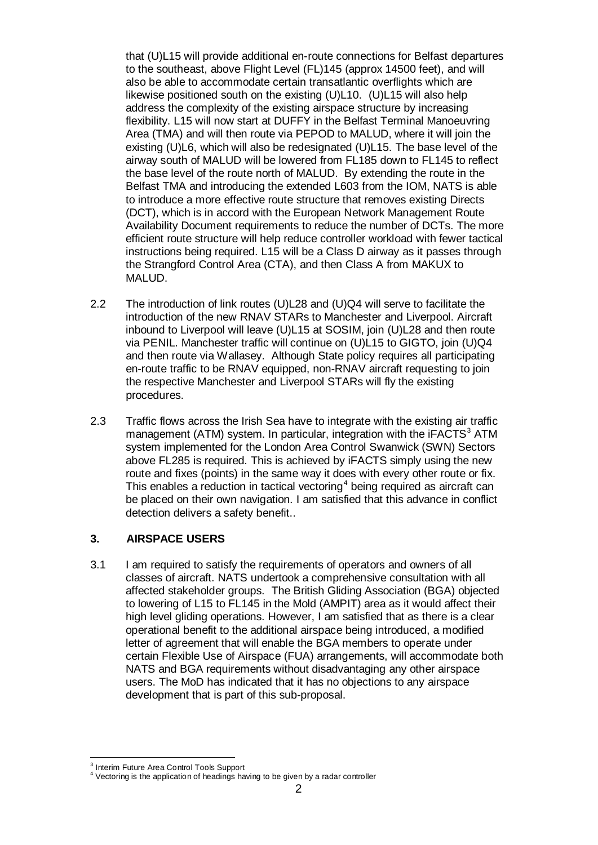that (U)L15 will provide additional en-route connections for Belfast departures to the southeast, above Flight Level (FL)145 (approx 14500 feet), and will also be able to accommodate certain transatlantic overflights which are likewise positioned south on the existing (U)L10. (U)L15 will also help address the complexity of the existing airspace structure by increasing flexibility. L15 will now start at DUFFY in the Belfast Terminal Manoeuvring Area (TMA) and will then route via PEPOD to MALUD, where it will join the existing (U)L6, which will also be redesignated (U)L15. The base level of the airway south of MALUD will be lowered from FL185 down to FL145 to reflect the base level of the route north of MALUD. By extending the route in the Belfast TMA and introducing the extended L603 from the IOM, NATS is able to introduce a more effective route structure that removes existing Directs (DCT), which is in accord with the European Network Management Route Availability Document requirements to reduce the number of DCTs. The more efficient route structure will help reduce controller workload with fewer tactical instructions being required. L15 will be a Class D airway as it passes through the Strangford Control Area (CTA), and then Class A from MAKUX to MALUD.

- 2.2 The introduction of link routes (U)L28 and (U)Q4 will serve to facilitate the introduction of the new RNAV STARs to Manchester and Liverpool. Aircraft inbound to Liverpool will leave (U)L15 at SOSIM, join (U)L28 and then route via PENIL. Manchester traffic will continue on (U)L15 to GIGTO, join (U)Q4 and then route via Wallasey. Although State policy requires all participating en-route traffic to be RNAV equipped, non-RNAV aircraft requesting to join the respective Manchester and Liverpool STARs will fly the existing procedures.
- 2.3 Traffic flows across the Irish Sea have to integrate with the existing air traffic management (ATM) system. In particular, integration with the  $IFACTS<sup>3</sup> ATM$  $IFACTS<sup>3</sup> ATM$  $IFACTS<sup>3</sup> ATM$ system implemented for the London Area Control Swanwick (SWN) Sectors above FL285 is required. This is achieved by iFACTS simply using the new route and fixes (points) in the same way it does with every other route or fix. This enables a reduction in tactical vectoring<sup>[4](#page-1-1)</sup> being required as aircraft can be placed on their own navigation. I am satisfied that this advance in conflict detection delivers a safety benefit..

### **3. AIRSPACE USERS**

3.1 I am required to satisfy the requirements of operators and owners of all classes of aircraft. NATS undertook a comprehensive consultation with all affected stakeholder groups. The British Gliding Association (BGA) objected to lowering of L15 to FL145 in the Mold (AMPIT) area as it would affect their high level gliding operations. However, I am satisfied that as there is a clear operational benefit to the additional airspace being introduced, a modified letter of agreement that will enable the BGA members to operate under certain Flexible Use of Airspace (FUA) arrangements, will accommodate both NATS and BGA requirements without disadvantaging any other airspace users. The MoD has indicated that it has no objections to any airspace development that is part of this sub-proposal.

<span id="page-1-1"></span><span id="page-1-0"></span>

 $3$  Interim Future Area Control Tools Support<br> $4$  Vectoring is the application of headings having to be given by a radar controller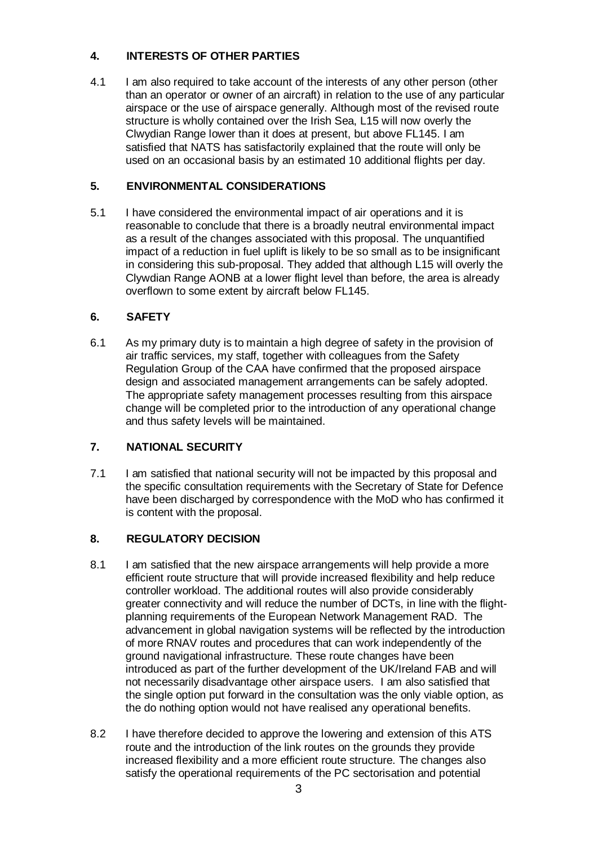# **4. INTERESTS OF OTHER PARTIES**

4.1 I am also required to take account of the interests of any other person (other than an operator or owner of an aircraft) in relation to the use of any particular airspace or the use of airspace generally. Although most of the revised route structure is wholly contained over the Irish Sea, L15 will now overly the Clwydian Range lower than it does at present, but above FL145. I am satisfied that NATS has satisfactorily explained that the route will only be used on an occasional basis by an estimated 10 additional flights per day.

### **5. ENVIRONMENTAL CONSIDERATIONS**

5.1 I have considered the environmental impact of air operations and it is reasonable to conclude that there is a broadly neutral environmental impact as a result of the changes associated with this proposal. The unquantified impact of a reduction in fuel uplift is likely to be so small as to be insignificant in considering this sub-proposal. They added that although L15 will overly the Clywdian Range AONB at a lower flight level than before, the area is already overflown to some extent by aircraft below FL145.

### **6. SAFETY**

6.1 As my primary duty is to maintain a high degree of safety in the provision of air traffic services, my staff, together with colleagues from the Safety Regulation Group of the CAA have confirmed that the proposed airspace design and associated management arrangements can be safely adopted. The appropriate safety management processes resulting from this airspace change will be completed prior to the introduction of any operational change and thus safety levels will be maintained.

### **7. NATIONAL SECURITY**

7.1 I am satisfied that national security will not be impacted by this proposal and the specific consultation requirements with the Secretary of State for Defence have been discharged by correspondence with the MoD who has confirmed it is content with the proposal.

### **8. REGULATORY DECISION**

- 8.1 I am satisfied that the new airspace arrangements will help provide a more efficient route structure that will provide increased flexibility and help reduce controller workload. The additional routes will also provide considerably greater connectivity and will reduce the number of DCTs, in line with the flightplanning requirements of the European Network Management RAD. The advancement in global navigation systems will be reflected by the introduction of more RNAV routes and procedures that can work independently of the ground navigational infrastructure. These route changes have been introduced as part of the further development of the UK/Ireland FAB and will not necessarily disadvantage other airspace users. I am also satisfied that the single option put forward in the consultation was the only viable option, as the do nothing option would not have realised any operational benefits.
- 8.2 I have therefore decided to approve the lowering and extension of this ATS route and the introduction of the link routes on the grounds they provide increased flexibility and a more efficient route structure. The changes also satisfy the operational requirements of the PC sectorisation and potential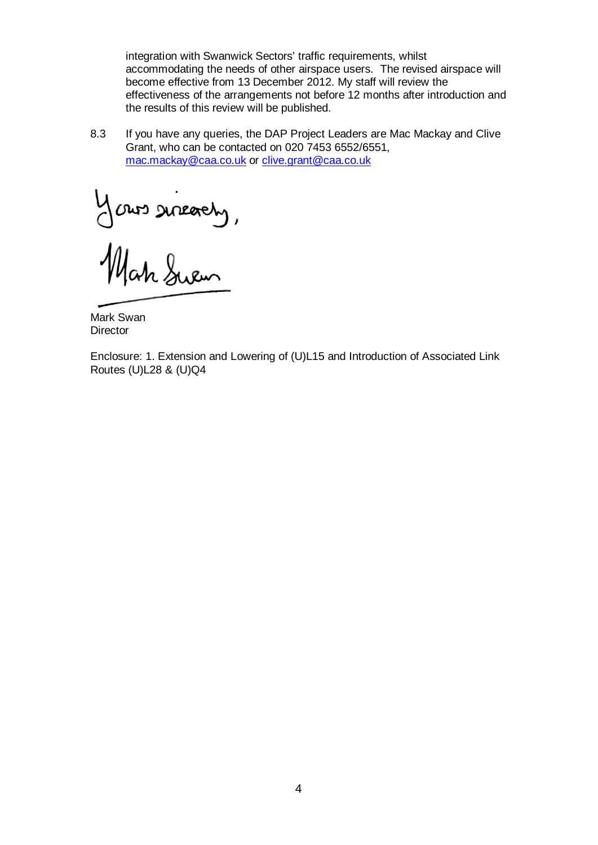integration with Swanwick Sectors' traffic requirements, whilst accommodating the needs of other airspace users. The revised airspace will become effective from 13 December 2012. My staff will review the effectiveness of the arrangements not before 12 months after introduction and the results of this review will be published.

8.3 If you have any queries, the DAP Project Leaders are Mac Mackay and Clive Grant, who can be contacted on 020 7453 6552/6551, [mac.mackay@caa.co.uk](mailto:mac.mackay@caa.co.uk) or [clive.grant@caa.co.uk](mailto:clive.grant@caa.co.uk)

Yours sureachy,<br>Mah Suem

Mark Swan **Director** 

Enclosure: 1. Extension and Lowering of (U)L15 and Introduction of Associated Link Routes (U)L28 & (U)Q4